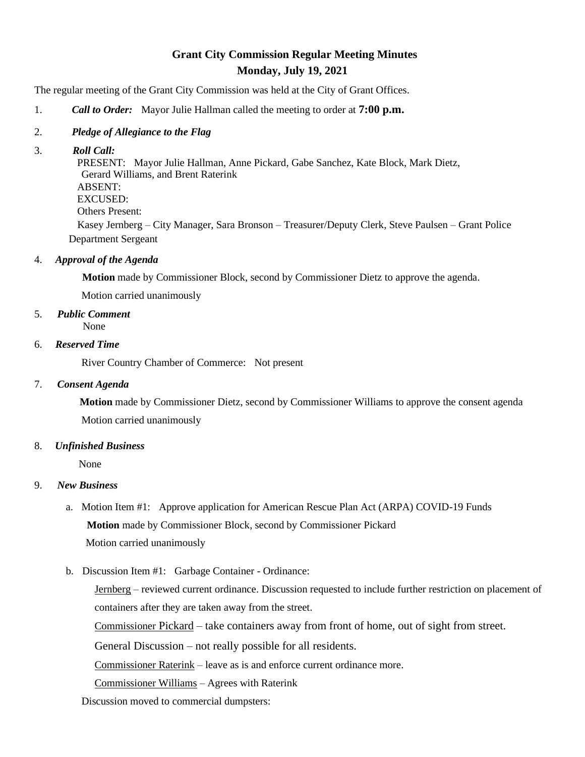# **Grant City Commission Regular Meeting Minutes Monday, July 19, 2021**

The regular meeting of the Grant City Commission was held at the City of Grant Offices.

- 1. *Call to Order:* Mayor Julie Hallman called the meeting to order at **7:00 p.m.**
- 2. *Pledge of Allegiance to the Flag*
- 3. *Roll Call:*

 PRESENT: Mayor Julie Hallman, Anne Pickard, Gabe Sanchez, Kate Block, Mark Dietz, Gerard Williams, and Brent Raterink ABSENT: EXCUSED: Others Present: Kasey Jernberg – City Manager, Sara Bronson – Treasurer/Deputy Clerk, Steve Paulsen – Grant Police

Department Sergeant

4. *Approval of the Agenda*

 **Motion** made by Commissioner Block, second by Commissioner Dietz to approve the agenda.

Motion carried unanimously

5. *Public Comment*

None

#### 6. *Reserved Time*

River Country Chamber of Commerce: Not present

## 7. *Consent Agenda*

 **Motion** made by Commissioner Dietz, second by Commissioner Williams to approve the consent agenda Motion carried unanimously

## 8. *Unfinished Business*

None

## 9. *New Business*

- a. Motion Item #1: Approve application for American Rescue Plan Act (ARPA) COVID-19 Funds **Motion** made by Commissioner Block, second by Commissioner Pickard Motion carried unanimously
- b. Discussion Item #1: Garbage Container Ordinance:

Jernberg – reviewed current ordinance. Discussion requested to include further restriction on placement of containers after they are taken away from the street.

Commissioner Pickard – take containers away from front of home, out of sight from street.

General Discussion – not really possible for all residents.

Commissioner Raterink – leave as is and enforce current ordinance more.

Commissioner Williams – Agrees with Raterink

Discussion moved to commercial dumpsters: